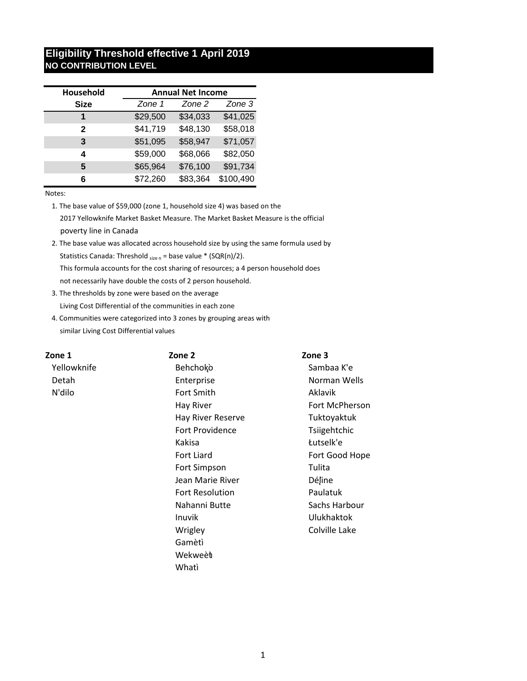# **Eligibility Threshold effective 1 April 2019 NO CONTRIBUTION LEVEL**

| Household    | <b>Annual Net Income</b> |          |           |
|--------------|--------------------------|----------|-----------|
| <b>Size</b>  | Zone 1                   | Zone 2   | Zone 3    |
| 1            | \$29,500                 | \$34,033 | \$41,025  |
| $\mathbf{2}$ | \$41,719                 | \$48,130 | \$58,018  |
| 3            | \$51,095                 | \$58,947 | \$71,057  |
| 4            | \$59,000                 | \$68,066 | \$82,050  |
| 5            | \$65,964                 | \$76,100 | \$91,734  |
| 6            | \$72,260                 | \$83,364 | \$100,490 |

Notes:

1. The base value of \$59,000 (zone 1, household size 4) was based on the 2017 Yellowknife Market Basket Measure. The Market Basket Measure is the official poverty line in Canada

- 2. The base value was allocated across household size by using the same formula used by Statistics Canada: Threshold  $_{size\,n}$  = base value \* (SQR(n)/2). This formula accounts for the cost sharing of resources; a 4 person household does not necessarily have double the costs of 2 person household.
- 3. The thresholds by zone were based on the average Living Cost Differential of the communities in each zone
- 4. Communities were categorized into 3 zones by grouping areas with similar Living Cost Differential values

| Zone 1      | Zone 2                 | Zone 3            |
|-------------|------------------------|-------------------|
| Yellowknife | Behchoko               | Sambaa K'e        |
| Detah       | Enterprise             | Norman Wells      |
| N'dilo      | Fort Smith             | <b>Aklavik</b>    |
|             | Hay River              | Fort McPherson    |
|             | Hay River Reserve      | Tuktoyaktuk       |
|             | Fort Providence        | Tsiigehtchic      |
|             | Kakisa                 | Łutselk'e         |
|             | Fort Liard             | Fort Good Hope    |
|             | Fort Simpson           | Tulita            |
|             | Jean Marie River       | Déjine            |
|             | <b>Fort Resolution</b> | Paulatuk          |
|             | Nahanni Butte          | Sachs Harbour     |
|             | Inuvik                 | <b>Ulukhaktok</b> |
|             | Wrigley                | Colville Lake     |
|             | Gamètì                 |                   |
|             | Wekweèt                |                   |

Whatì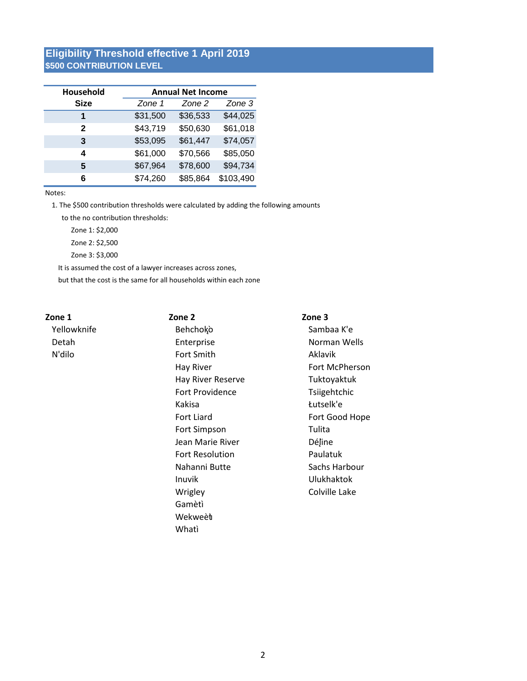# **Eligibility Threshold effective 1 April 2019** \$500 CONTRIBUTION LEVEL

| Household   | <b>Annual Net Income</b> |          |           |
|-------------|--------------------------|----------|-----------|
| <b>Size</b> | Zone 1                   | Zone 2   | Zone 3    |
| 1           | \$31,500                 | \$36,533 | \$44,025  |
| 2           | \$43,719                 | \$50,630 | \$61,018  |
| 3           | \$53,095                 | \$61,447 | \$74,057  |
| 4           | \$61,000                 | \$70,566 | \$85,050  |
| 5           | \$67,964                 | \$78,600 | \$94,734  |
| 6           | \$74,260                 | \$85,864 | \$103,490 |

#### Notes:

1. The \$500 contribution thresholds were calculated by adding the following amounts

to the no contribution thresholds:

Zone 1: \$2.000

Zone 2: \$2,500

Zone 3: \$3,000

It is assumed the cost of a lawyer increases across zones,

but that the cost is the same for all households within each zone

### Zone 1

Yellowknife Detah N'dilo

Zone 2 Behchoko Enterprise Fort Smith Hay River Hay River Reserve Fort Providence Kakisa Fort Liard Fort Simpson Jean Marie River Fort Resolution Nahanni Butte Inuvik Wrigley Gamètì Wekweèt Whatì

Zone 3

Sambaa K'e Norman Wells Aklavik Fort McPherson Tuktoyaktuk Tsiigehtchic Łutselk'e Fort Good Hope Tulita Déjine Paulatuk Sachs Harbour **Ulukhaktok** Colville Lake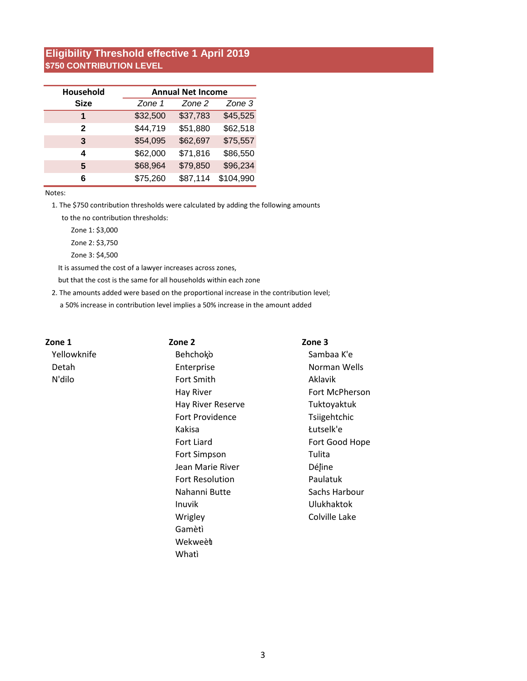# **Eligibility Threshold effective 1 April 2019** \$750 CONTRIBUTION LEVEL

| Household    | <b>Annual Net Income</b> |          |           |
|--------------|--------------------------|----------|-----------|
| <b>Size</b>  | Zone 1                   | Zone 2   | Zone 3    |
| 1            | \$32,500                 | \$37,783 | \$45,525  |
| $\mathbf{2}$ | \$44,719                 | \$51,880 | \$62,518  |
| 3            | \$54,095                 | \$62,697 | \$75,557  |
| 4            | \$62,000                 | \$71,816 | \$86,550  |
| 5            | \$68,964                 | \$79,850 | \$96,234  |
| 6            | \$75,260                 | \$87,114 | \$104,990 |

Notes:

1. The \$750 contribution thresholds were calculated by adding the following amounts

to the no contribution thresholds:

Zone 1: \$3,000

Zone 2: \$3,750

Zone 3: \$4,500

It is assumed the cost of a lawyer increases across zones,

but that the cost is the same for all households within each zone

2. The amounts added were based on the proportional increase in the contribution level;

a 50% increase in contribution level implies a 50% increase in the amount added

| Zone 1      | Zone 2                 | Zone 3            |
|-------------|------------------------|-------------------|
| Yellowknife | Behchoko               | Sambaa K'e        |
| Detah       | Enterprise             | Norman Wells      |
| N'dilo      | Fort Smith             | Aklavik           |
|             | Hay River              | Fort McPherson    |
|             | Hay River Reserve      | Tuktoyaktuk       |
|             | Fort Providence        | Tsiigehtchic      |
|             | Kakisa                 | Łutselk'e         |
|             | <b>Fort Liard</b>      | Fort Good Hope    |
|             | Fort Simpson           | Tulita            |
|             | Jean Marie River       | Déjine            |
|             | <b>Fort Resolution</b> | Paulatuk          |
|             | Nahanni Butte          | Sachs Harbour     |
|             | Inuvik                 | <b>Ulukhaktok</b> |
|             | Wrigley                | Colville Lake     |
|             | Gamètì                 |                   |
|             | Wekweèt                |                   |

Whati